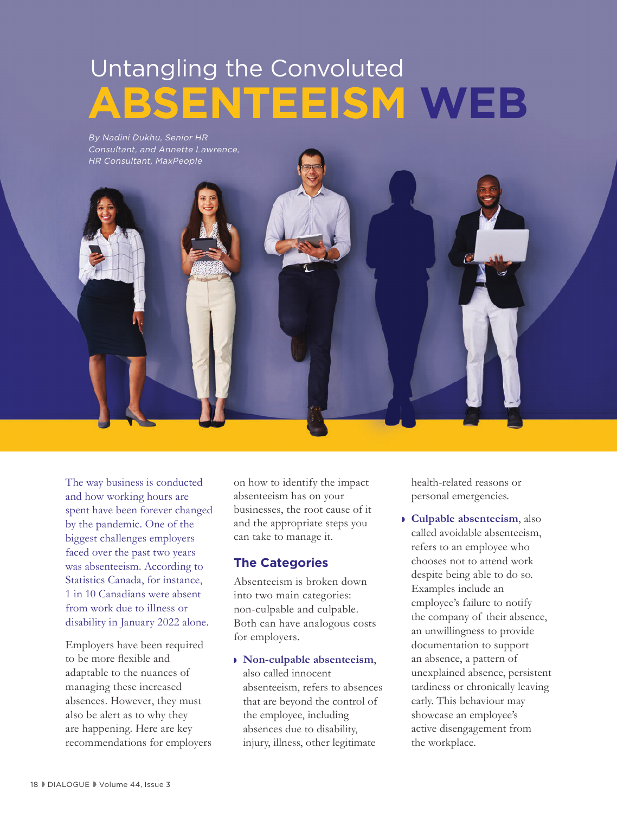# **ABSENTEEISM WEB** Untangling the Convoluted

By Nadini Dukhu, Senior HR Consultant, and Annette Lawrence, HR Consultant, MaxPeople



The way business is conducted and how working hours are spent have been forever changed by the pandemic. One of the biggest challenges employers faced over the past two years was absenteeism. According to Statistics Canada, for instance, 1 in 10 Canadians were absent from work due to illness or disability in January 2022 alone.

Employers have been required to be more flexible and adaptable to the nuances of managing these increased absences. However, they must also be alert as to why they are happening. Here are key recommendations for employers on how to identify the impact absenteeism has on your businesses, the root cause of it and the appropriate steps you can take to manage it.

### **The Categories**

Absenteeism is broken down into two main categories: non-culpable and culpable. Both can have analogous costs for employers.

◗ **Non-culpable absenteeism**, also called innocent absenteeism, refers to absences that are beyond the control of the employee, including absences due to disability, injury, illness, other legitimate

health-related reasons or personal emergencies.

◗ **Culpable absenteeism**, also called avoidable absenteeism, refers to an employee who chooses not to attend work despite being able to do so. Examples include an employee's failure to notify the company of their absence, an unwillingness to provide documentation to support an absence, a pattern of unexplained absence, persistent tardiness or chronically leaving early. This behaviour may showcase an employee's active disengagement from the workplace.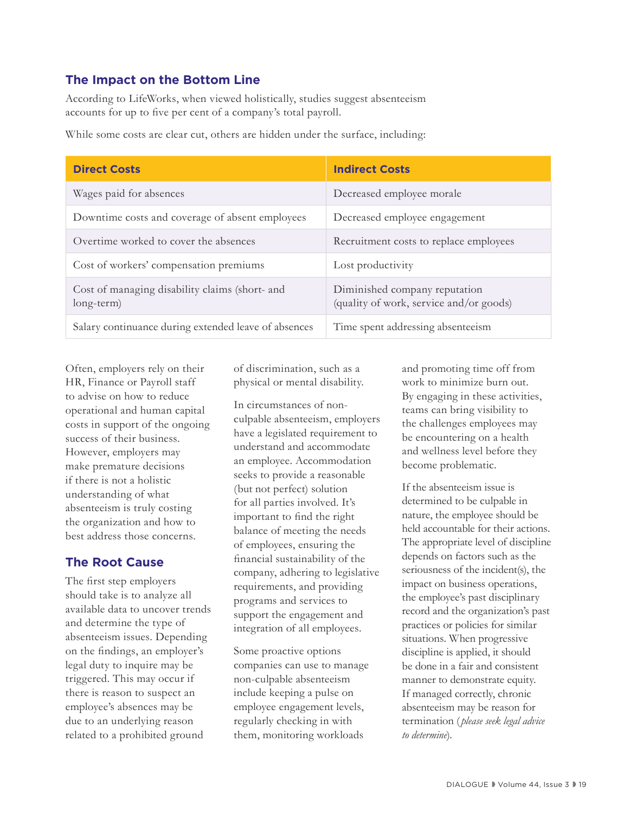#### **The Impact on the Bottom Line**

According to LifeWorks, when viewed holistically, studies suggest absenteeism accounts for up to five per cent of a company's total payroll.

While some costs are clear cut, others are hidden under the surface, including:

| <b>Direct Costs</b>                                          | <b>Indirect Costs</b>                                                    |
|--------------------------------------------------------------|--------------------------------------------------------------------------|
| Wages paid for absences                                      | Decreased employee morale                                                |
| Downtime costs and coverage of absent employees              | Decreased employee engagement                                            |
| Overtime worked to cover the absences                        | Recruitment costs to replace employees                                   |
| Cost of workers' compensation premiums                       | Lost productivity                                                        |
| Cost of managing disability claims (short- and<br>long-term) | Diminished company reputation<br>(quality of work, service and/or goods) |
| Salary continuance during extended leave of absences         | Time spent addressing absenteeism                                        |

Often, employers rely on their HR, Finance or Payroll staff to advise on how to reduce operational and human capital costs in support of the ongoing success of their business. However, employers may make premature decisions if there is not a holistic understanding of what absenteeism is truly costing the organization and how to best address those concerns.

#### **The Root Cause**

The first step employers should take is to analyze all available data to uncover trends and determine the type of absenteeism issues. Depending on the findings, an employer's legal duty to inquire may be triggered. This may occur if there is reason to suspect an employee's absences may be due to an underlying reason related to a prohibited ground

of discrimination, such as a physical or mental disability.

In circumstances of nonculpable absenteeism, employers have a legislated requirement to understand and accommodate an employee. Accommodation seeks to provide a reasonable (but not perfect) solution for all parties involved. It's important to find the right balance of meeting the needs of employees, ensuring the financial sustainability of the company, adhering to legislative requirements, and providing programs and services to support the engagement and integration of all employees.

Some proactive options companies can use to manage non-culpable absenteeism include keeping a pulse on employee engagement levels, regularly checking in with them, monitoring workloads

and promoting time off from work to minimize burn out. By engaging in these activities, teams can bring visibility to the challenges employees may be encountering on a health and wellness level before they become problematic.

If the absenteeism issue is determined to be culpable in nature, the employee should be held accountable for their actions. The appropriate level of discipline depends on factors such as the seriousness of the incident(s), the impact on business operations, the employee's past disciplinary record and the organization's past practices or policies for similar situations. When progressive discipline is applied, it should be done in a fair and consistent manner to demonstrate equity. If managed correctly, chronic absenteeism may be reason for termination ( *please seek legal advice to determine*).